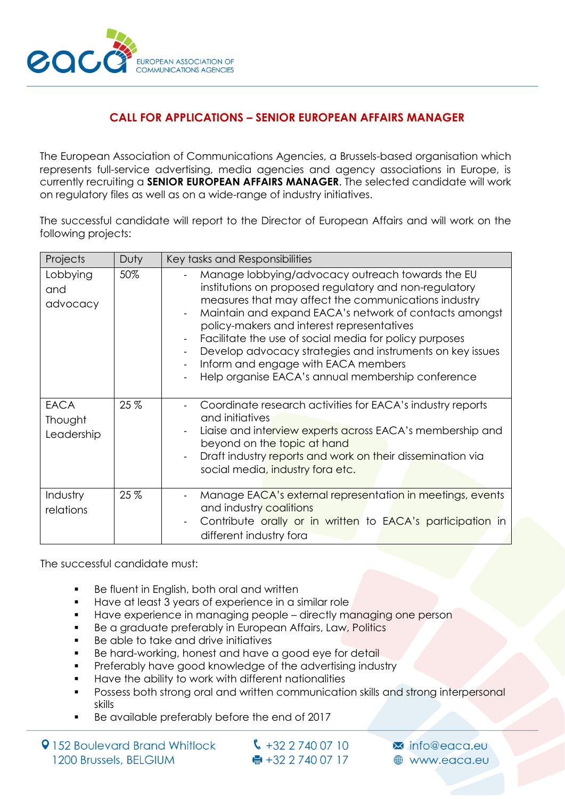

## **CALL FOR APPLICATIONS – SENIOR EUROPEAN AFFAIRS MANAGER**

The European Association of Communications Agencies, a Brussels-based organisation which represents full-service advertising, media agencies and agency associations in Europe, is currently recruiting a **SENIOR EUROPEAN AFFAIRS MANAGER**. The selected candidate will work on regulatory files as well as on a wide-range of industry initiatives.

The successful candidate will report to the Director of European Affairs and will work on the following projects:

| Projects                             | Duty | Key tasks and Responsibilities                                                                                                                                                                                                                                                                                                                                                                                                                                                                                  |
|--------------------------------------|------|-----------------------------------------------------------------------------------------------------------------------------------------------------------------------------------------------------------------------------------------------------------------------------------------------------------------------------------------------------------------------------------------------------------------------------------------------------------------------------------------------------------------|
| Lobbying<br>and<br>advocacy          | 50%  | Manage lobbying/advocacy outreach towards the EU<br>institutions on proposed regulatory and non-regulatory<br>measures that may affect the communications industry<br>Maintain and expand EACA's network of contacts amongst<br>policy-makers and interest representatives<br>Facilitate the use of social media for policy purposes<br>$\blacksquare$<br>Develop advocacy strategies and instruments on key issues<br>Inform and engage with EACA members<br>Help organise EACA's annual membership conference |
| <b>EACA</b><br>Thought<br>Leadership | 25%  | Coordinate research activities for EACA's industry reports<br>and initiatives<br>Liaise and interview experts across EACA's membership and<br>beyond on the topic at hand<br>Draft industry reports and work on their dissemination via<br>social media, industry fora etc.                                                                                                                                                                                                                                     |
| Industry<br>relations                | 25 % | Manage EACA's external representation in meetings, events<br>$\blacksquare$<br>and industry coalitions<br>Contribute orally or in written to EACA's participation in<br>different industry fora                                                                                                                                                                                                                                                                                                                 |

The successful candidate must:

- Be fluent in English, both oral and written
- Have at least 3 years of experience in a similar role
- Have experience in managing people directly managing one person
- Be a graduate preferably in European Affairs, Law, Politics
- Be able to take and drive initiatives
- Be hard-working, honest and have a good eye for detail
- Preferably have good knowledge of the advertising industry
- Have the ability to work with different nationalities
- Possess both strong oral and written communication skills and strong interpersonal skills
- Be available preferably before the end of 2017

9152 Boulevard Brand Whitlock 1200 Brussels, BELGIUM

 $\binom{1}{2}$  +32 2 740 07 10  $\bullet$  +32 2 740 07 17

Minfo@eaca.eu **A** www.edca.eu